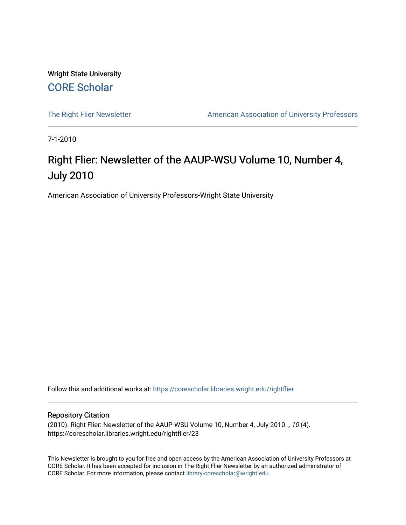Wright State University [CORE Scholar](https://corescholar.libraries.wright.edu/)

[The Right Flier Newsletter](https://corescholar.libraries.wright.edu/rightflier) **American Association of University Professors** 

7-1-2010

# Right Flier: Newsletter of the AAUP-WSU Volume 10, Number 4, July 2010

American Association of University Professors-Wright State University

Follow this and additional works at: [https://corescholar.libraries.wright.edu/rightflier](https://corescholar.libraries.wright.edu/rightflier?utm_source=corescholar.libraries.wright.edu%2Frightflier%2F23&utm_medium=PDF&utm_campaign=PDFCoverPages) 

#### Repository Citation

(2010). Right Flier: Newsletter of the AAUP-WSU Volume 10, Number 4, July 2010. , 10 (4). https://corescholar.libraries.wright.edu/rightflier/23

This Newsletter is brought to you for free and open access by the American Association of University Professors at CORE Scholar. It has been accepted for inclusion in The Right Flier Newsletter by an authorized administrator of CORE Scholar. For more information, please contact [library-corescholar@wright.edu](mailto:library-corescholar@wright.edu).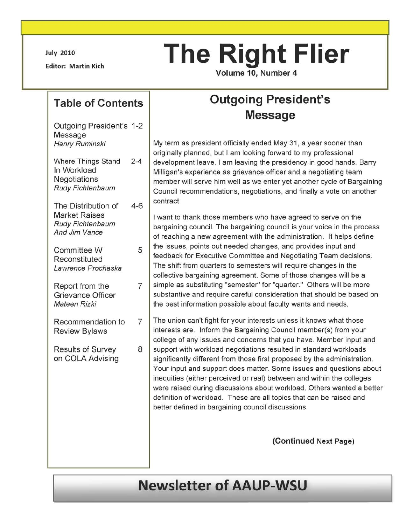July 2010

Editor: Martin Kich

# **The Right Flier**

Volume 10, Number 4

### **Table of Contents**

Outgoing President's 1-2 Message Henry Ruminski

Where Things Stand 2-4 In Workload **Negotiations** Rudy Fichtenbaum

The Distribution of 4-6 Market Raises Rudy Fichtenbaum And Jim Vance

Committee W 5 Reconstituted Lawrence Prochaska

Report from the 7 Grievance Officer Mateen Rizki

Recommendation to 7 Review Bylaws

Results of Survey 8 on COLA Advising

# **Outgoing President's Message**

My term as president officially ended May 31, a year sooner than originally planned, but I am looking forward to my professional development leave. I am leaving the presidency in good hands. Barry Milligan's experience as grievance officer and a negotiating team member will serve him well as we enter yet another cycle of Bargaining Council recommendations, negotiations, and finally a vote on another contract.

I want to thank those members who have agreed to serve on the bargaining council. The bargaining council is your voice in the process of reaching a new agreement with the administration. It helps define the issues, points out needed changes, and provides input and feedback for Executive Committee and Negotiating Team decisions. The shift from quarters to semesters will require changes in the collective bargaining agreement. Some of those changes will be a simple as substituting "semester" for "quarter." Others will be more substantive and require careful consideration that should be based on the best information possible about faculty wants and needs.

The union can't fight for your interests unless it knows what those interests are. Inform the Bargaining Council member(s) from your college of any issues and concerns that you have. Member input and support with workload negotiations resulted in standard workloads significantly different from those first proposed by the administration. Your input and support does matter. Some issues and questions about inequities (either perceived or real) between and within the colleges were raised during discussions about workload. Others wanted a better definition of workload. These are all topics that can be raised and better defined in bargaining council discussions.

(Continued Next Page)

# **Newsletter of AAUP-WSU**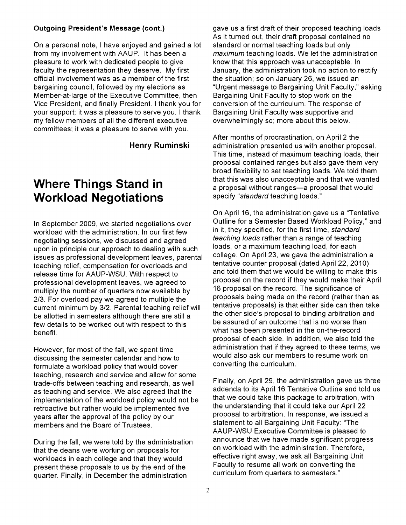#### Outgoing President's Message (cont.)

On a personal note, I have enjoyed and gained a lot from my involvement with AAUP. It has been a pleasure to work with dedicated people to give faculty the representation they deserve. My first official involvement was as a member of the first bargaining council, followed by my elections as Member-at-Iarge of the Executive Committee, then Vice President, and finally President. I thank you for your support; it was a pleasure to serve you. I thank my fellow members of all the different executive committees; it was a pleasure to serve with you.

Henry Ruminski

# **Where Things Stand in Workload Negotiations**

In September 2009, we started negotiations over workload with the administration. In our first few negotiating sessions, we discussed and agreed upon in principle our approach to dealing with such issues as professional development leaves, parental teaching relief, compensation for overloads and release time for AAUP-WSU. With respect to professional development leaves, we agreed to multiply the number of quarters now available by 2/3. For overload pay we agreed to multiple the current minimum by 3/2. Parental teaching relief will be allotted in semesters although there are still a few details to be worked out with respect to this benefit.

However, for most of the fall, we spent time discussing the semester calendar and how to formulate a workload policy that would cover teaching, research and service and allow for some trade-offs between teaching and research, as well as teaching and service. We also agreed that the implementation of the workload policy would not be retroactive but rather would be implemented five years after the approval of the policy by our members and the Board of Trustees.

During the fall, we were told by the administration that the deans were working on proposals for workloads in each college and that they would present these proposals to us by the end of the quarter. Finally, in December the administration

gave us a first draft of their proposed teaching loads As it turned out, their draft proposal contained no standard or normal teaching loads but only maximum teaching loads. We let the administration know that this approach was unacceptable. In January, the administration took no action to rectify the situation; so on January 26, we issued an "Urgent message to Bargaining Unit Faculty," asking Bargaining Unit Faculty to stop work on the conversion of the curriculum. The response of Bargaining Unit Faculty was supportive and overwhelmingly so; more about this below.

After months of procrastination, on April 2 the administration presented us with another proposal. This time, instead of maximum teaching loads, their proposal contained ranges but also gave them very broad flexibility to set teaching loads. We told them that this was also unacceptable and that we wanted a proposal without ranges-a proposal that would specify "standard teaching loads."

On April 16, the administration gave us a "Tentative Outline for a Semester Based Workload Policy," and in it, they specified, for the first time, standard teaching loads rather than a range of teaching loads, or a maximum teaching load, for each college. On April 23, we gave the administration a tentative counter proposal (dated April 22, 2010) and told them that we would be willing to make this proposal on the record if they would make their April 16 proposal on the record. The significance of proposals being made on the record (rather than as tentative proposals) is that either side can then take the other side's proposal to binding arbitration and be assured of an outcome that is no worse than what has been presented in the on-the-record proposal of each side. In addition, we also told the administration that if they agreed to these terms, we would also ask our members to resume work on converting the curriculum.

Finally, on April 29, the administration gave us three addenda to its April 16 Tentative Outline and told us that we could take this package to arbitration, with the understanding that it could take our April 22 proposal to arbitration. In response, we issued a statement to all Bargaining Unit Faculty: "The AAUP-WSU Executive Committee is pleased to announce that we have made significant progress on workload with the administration. Therefore, effective right away, we ask all Bargaining Unit Faculty to resume all work on converting the curriculum from quarters to semesters."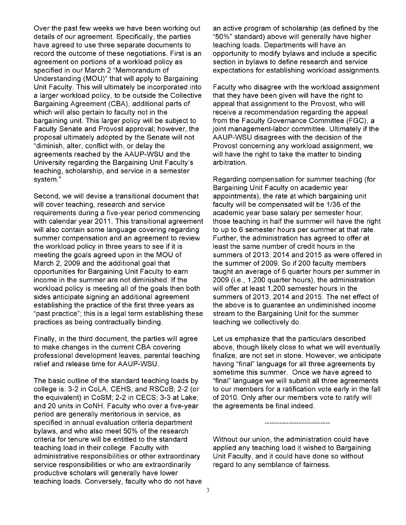Over the past few weeks we have been working out details of our agreement. Specifically, the parties have agreed to use three separate documents to record the outcome of these negotiations. First is an agreement on portions of a workload policy as specified in our March 2 "Memorandum of Understanding (MOU)" that will apply to Bargaining Unit Faculty. This will ultimately be incorporated into a larger workload policy, to be outside the Collective Bargaining Agreement (CBA), additional parts of which will also pertain to faculty not in the bargaining unit. This larger policy will be subject to Faculty Senate and Provost approval; however, the proposal ultimately adopted by the Senate will not "diminish, alter, conflict with, or delay the agreements reached by the AAUP-WSU and the University regarding the Bargaining Unit Faculty's teaching, scholarship, and service in a semester system."

Second, we will devise a transitional document that will cover teaching, research and service requirements during a five-year period commencing with calendar year 2011. This transitional agreement will also contain some language covering regarding summer compensation and an agreement to review the workload policy in three years to see if it is meeting the goals agreed upon in the MOU of March 2, 2009 and the additional goal that opportunities for Bargaining Unit Faculty to earn income in the summer are not diminished. If the workload policy is meeting all of the goals then both sides anticipate signing an additional agreement establishing the practice of the first three years as "past practice"; this is a legal term establishing these practices as being contractually binding.

Finally, in the third document, the parties will agree to make changes in the current CBA covering professional development leaves, parental teaching relief and release time for AAUP-WSU.

The basic outline of the standard teaching loads by college is: 3-2 in CoLA, CEHS, and RSCoB; 2-2 (or the equivalent) in CoSM; 2-2 in CECS; 3-3 at Lake; and 20 units in CoNH. Faculty who over a five-year period are generally meritorious in service, as specified in annual evaluation criteria department bylaws, and who also meet 50% of the research criteria for tenure will be entitled to the standard teaching load in their college. Faculty with administrative responsibilities or other extraordinary service responsibilities or who are extraordinarily productive scholars will generally have lower teaching loads. Conversely, faculty who do not have an active program of scholarship (as defined by the "50%" standard) above will generally have higher teaching loads. Departments will have an opportunity to modify bylaws and include a specific section in bylaws to define research and service expectations for establishing workload assignments.

Faculty who disagree with the workload assignment that they have been given will have the right to appeal that assignment to the Provost, who will receive a recommendation regarding the appeal from the Faculty Governance Committee (FGC), a joint management-labor committee. Ultimately if the AAUP-WSU disagrees with the decision of the Provost concerning any workload assignment, we will have the right to take the matter to binding arbitration.

Regarding compensation for summer teaching (for Bargaining Unit Faculty on academic year appointments), the rate at which bargaining unit faculty will be compensated will be 1/36 of the academic year base salary per semester hour; those teaching in half the summer will have the right to up to 6 semester hours per summer at that rate. Further, the administration has agreed to offer at least the same number of credit hours in the summers of 2013, 2014 and 2015 as were offered in the summer of 2009. So if 200 faculty members taught an average of 6 quarter hours per summer in 2009 (i.e., 1,200 quarter hours), the administration will offer at least 1,200 semester hours in the summers of 2013, 2014 and 2015. The net effect of the above is to guarantee an undiminished income stream to the Bargaining Unit for the summer teaching we collectively do.

Let us emphasize that the particulars described above, though likely close to what we will eventually finalize, are not set in stone. However, we anticipate having "final" language for all three agreements by sometime this summer. Once we have agreed to "final" language we will submit all three agreements to our members for a ratification vote early in the fall of 2010. Only after our members vote to ratify will the agreements be final indeed.

Without our union, the administration could have applied any teaching load it wished to Bargaining Unit Faculty, and it could have done so without regard to any semblance of fairness.

---------------------------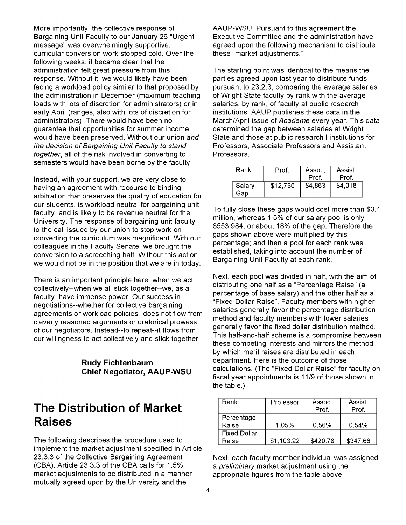More importantly, the collective response of Bargaining Unit Faculty to our January 26 "Urgent message" was overwhelmingly supportive: curricular conversion work stopped cold. Over the following weeks, it became clear that the administration felt great pressure from this response. Without it, we would likely have been facing a workload policy similar to that proposed by the administration in December (maximum teaching loads with lots of discretion for administrators) or in early April (ranges, also with lots of discretion for administrators). There would have been no guarantee that opportunities for summer income would have been preserved. Without our union and the decision of Bargaining Unit Faculty to stand together, all of the risk involved in converting to semesters would have been borne by the faculty.

Instead, with your support, we are very close to having an agreement with recourse to binding arbitration that preserves the quality of education for our students, is workload neutral for bargaining unit faculty, and is likely to be revenue neutral for the University. The response of bargaining unit faculty to the call issued by our union to stop work on converting the curriculum was magnificent. With our colleagues in the Faculty Senate, we brought the conversion to a screeching halt. Without this action, we would not be in the position that we are in today.

There is an important principle here: when we act collectively--when we all stick together--we, as a faculty, have immense power. Our success in negotiations--whether for collective bargaining agreements or workload policies--does not flow from cleverly reasoned arguments or oratorical prowess of our negotiators. Instead--to repeat--it flows from our willingness to act collectively and stick together.

> **Rudy Fichtenbaum Chief Negotiator, AAUP-WSU**

# **The Distribution of Market Raises**

The following describes the procedure used to implement the market adjustment specified in Article 23.3.3 of the Collective Bargaining Agreement (CBA). Article 23.3.3 of the CBA calls for 1.5% market adjustments to be distributed in a manner mutually agreed upon by the University and the

AAUP-WSU. Pursuant to this agreement the Executive Committee and the administration have agreed upon the following mechanism to distribute these "market adjustments."

The starting point was identical to the means the parties agreed upon last year to distribute funds pursuant to 23.2.3, comparing the average salaries of Wright State faculty by rank with the average salaries, by rank, of faculty at public research I institutions. AAUP publishes these data in the March/April issue of Academe every year. This data determined the gap between salaries at Wright State and those at public research I institutions for Professors, Associate Professors and Assistant Professors.

| Rank          | Prof.    | Assoc.  | Assist. |
|---------------|----------|---------|---------|
|               |          | Prof.   | Prof.   |
| Salary<br>Gap | \$12,750 | \$4,863 | \$4.018 |

To fully close these gaps would cost more than \$3.1 million, whereas 1.5% of our salary pool is only \$553,984, or about 18% of the gap. Therefore the gaps shown above were multiplied by this percentage; and then a pool for each rank was established, taking into account the number of Bargaining Unit Faculty at each rank.

Next, each pool was divided in half, with the aim of distributing one half as a "Percentage Raise" (a percentage of base salary) and the other half as a "Fixed Dollar Raise". Faculty members with higher salaries generally favor the percentage distribution method and faculty members with lower salaries generally favor the fixed dollar distribution method. This half-and-half scheme is a compromise between these competing interests and mirrors the method by which merit raises are distributed in each department. Here is the outcome of those calculations. (The "Fixed Dollar Raise" for faculty on fiscal year appointments is 11/9 of those shown in the table.)

| Rank                | Professor  | Assoc.<br>Prof. | Assist.<br>Prof. |
|---------------------|------------|-----------------|------------------|
| Percentage          |            |                 |                  |
| Raise               | 1.05%      | 0.56%           | 0.54%            |
| <b>Fixed Dollar</b> |            |                 |                  |
| Raise               | \$1,103.22 | \$420.78        | \$347.66         |

Next, each faculty member individual was assigned a *preliminary* market adjustment using the appropriate figures from the table above.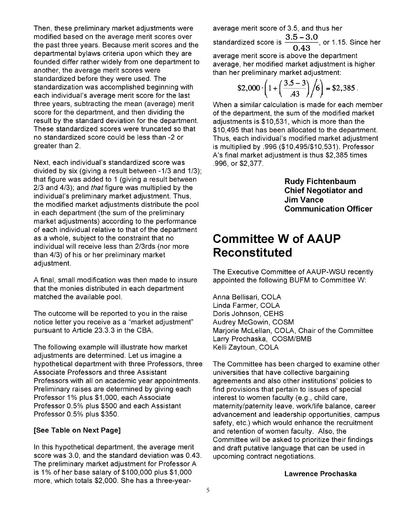Then, these preliminary market adjustments were modified based on the average merit scores over the past three years. Because merit scores and the departmental bylaws criteria upon which they are founded differ rather widely from one department to another, the average merit scores were standardized before they were used. The standardization was accomplished beginning with each individual's average merit score for the last three years, subtracting the mean (average) merit score for the department, and then dividing the result by the standard deviation for the department. These standardized scores were truncated so that no standardized score could be less than -2 or greater than 2.

Next, each individual's standardized score was divided by six (giving a result between -1/3 and 1/3); that figure was added to 1 (giving a result between 2/3 and 4/3); and that figure was multiplied by the individual's preliminary market adjustment. Thus, the modified market adjustments distribute the pool in each department (the sum of the preliminary market adjustments) according to the performance of each individual relative to that of the department as a whole, subject to the constraint that no individual will receive less than 2/3rds (nor more than 4/3) of his or her preliminary market adjustment.

A final, small modification was then made to insure that the monies distributed in each department matched the available pool.

The outcome will be reported to you in the raise notice letter you receive as a "market adjustment" pursuant to Article 23.3.3 in the CBA.

The following example will illustrate how market adjustments are determined. Let us imagine a hypothetical department with three Professors, three Associate Professors and three Assistant Professors with all on academic year appointments. Preliminary raises are determined by giving each Professor 1% plus \$1,000, each Associate Professor 0.5% plus \$500 and each Assistant Professor 0.5% plus \$350.

#### [See Table on Next Page]

In this hypothetical department, the average merit score was 3.0, and the standard deviation was 0.43. The preliminary market adjustment for Professor A is 1 % of her base salary of \$100,000 plus \$1,000 more, which totals \$2,000. She has a three-year-

average merit score of 3.5, and thus her standardized score is  $\frac{3.5 - 3.0}{2.18}$ , or 1.15. Since her 0.43 average merit score is above the department

average, her modified market adjustment is higher than her preliminary market adjustment:

$$
$2,000 \cdot \left(1 + \left(\frac{3.5 - 3}{.43}\right)\middle/ 6\right) = $2,385.
$$

When a similar calculation is made for each member of the department, the sum of the modified market adjustments is \$10,531, which is more than the \$10,495 that has been allocated to the department. Thus, each individual's modified market adjustment is multiplied by .996 (\$10,495/\$10,531). Professor A's final market adjustment is thus \$2,385 times .996, or \$2,377.

> Rudy Fichtenbaum Chief Negotiator and Jim Vance Communication Officer

# **Committee W of AAUP Reconstituted**

The Executive Committee of AAUP-WSU recently appointed the following BUFM to Committee W:

Anna Bellisari, COLA Linda Farmer, COLA Doris Johnson, CEHS Audrey McGowin, COSM Marjorie McLellan, COLA, Chair of the Committee Larry Prochaska, COSM/BMB Kelli Zaytoun, COLA

The Committee has been charged to examine other universities that have collective bargaining agreements and also other institutions' policies to find provisions that pertain to issues of special interest to women faculty (e.g., child care, maternity/paternity leave, work/life balance, career advancement and leadership opportunities, campus safety, etc.) which would enhance the recruitment and retention of women faculty. Also, the Committee will be asked to prioritize their findings and draft putative language that can be used in upcoming contract negotiations.

#### Lawrence Prochaska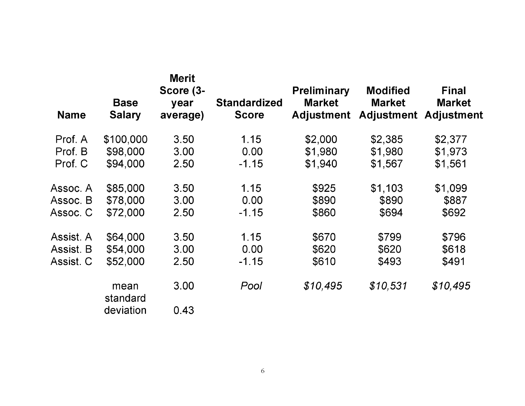| <b>Name</b> | <b>Base</b><br><b>Salary</b> | <b>Merit</b><br>Score (3-<br>year<br>average) | <b>Standardized</b><br><b>Score</b> | <b>Preliminary</b><br><b>Market</b><br><b>Adjustment</b> | <b>Modified</b><br><b>Market</b><br><b>Adjustment</b> | <b>Final</b><br><b>Market</b><br><b>Adjustment</b> |
|-------------|------------------------------|-----------------------------------------------|-------------------------------------|----------------------------------------------------------|-------------------------------------------------------|----------------------------------------------------|
| Prof. A     | \$100,000                    | 3.50                                          | 1.15                                | \$2,000                                                  | \$2,385                                               | \$2,377                                            |
| Prof. B     | \$98,000                     | 3.00                                          | 0.00                                | \$1,980                                                  | \$1,980                                               | \$1,973                                            |
| Prof. C     | \$94,000                     | 2.50                                          | $-1.15$                             | \$1,940                                                  | \$1,567                                               | \$1,561                                            |
| Assoc. A    | \$85,000                     | 3.50                                          | 1.15                                | \$925                                                    | \$1,103                                               | \$1,099                                            |
| Assoc. B    | \$78,000                     | 3.00                                          | 0.00                                | \$890                                                    | \$890                                                 | \$887                                              |
| Assoc. C    | \$72,000                     | 2.50                                          | $-1.15$                             | \$860                                                    | \$694                                                 | \$692                                              |
| Assist. A   | \$64,000                     | 3.50                                          | 1.15                                | \$670                                                    | \$799                                                 | \$796                                              |
| Assist. B   | \$54,000                     | 3.00                                          | 0.00                                | \$620                                                    | \$620                                                 | \$618                                              |
| Assist. C   | \$52,000                     | 2.50                                          | $-1.15$                             | \$610                                                    | \$493                                                 | \$491                                              |
|             | mean<br>standard             | 3.00                                          | Pool                                | \$10,495                                                 | \$10,531                                              | \$10,495                                           |
|             | deviation                    | 0.43                                          |                                     |                                                          |                                                       |                                                    |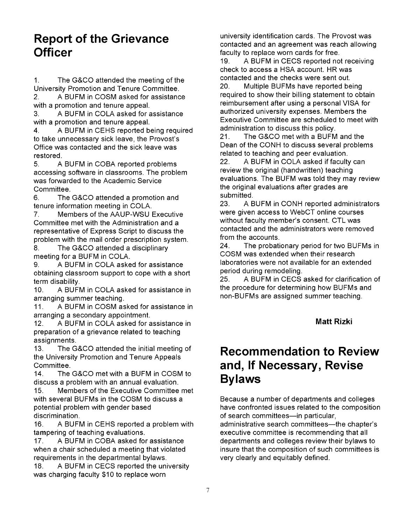## **Report of the Grievance Officer**

1. The G&CO attended the meeting of the University Promotion and Tenure Committee. 2. A BUFM in COSM asked for assistance

with a promotion and tenure appeal. 3. A BUFM in COLA asked for assistance

with a promotion and tenure appeal.

4. A BUFM in CEHS reported being required to take unnecessary sick leave, the Provost's Office was contacted and the sick leave was restored.

5. A BUFM in COBA reported problems accessing software in classrooms. The problem was forwarded to the Academic Service Committee.

6. The G&CO attended a promotion and tenure information meeting in COLA.

7. Members of the AAUP-WSU Executive Committee met with the Administration and a representative of Express Script to discuss the problem with the mail order prescription system.

8. The G&CO attended a disciplinary meeting for a BUFM in COLA.

9. A BUFM in COLA asked for assistance obtaining classroom support to cope with a short term disability.

10. A BUFM in COLA asked for assistance in arranging summer teaching.

11. A BUFM in COSM asked for assistance in arranging a secondary appointment.

12. A BUFM in COLA asked for assistance in preparation of a grievance related to teaching assignments.

13. The G&CO attended the initial meeting of the University Promotion and Tenure Appeals Committee.

14. The G&CO met with a BUFM in COSM to discuss a problem with an annual evaluation.

15. Members of the Executive Committee met with several BUFMs in the COSM to discuss a potential problem with gender based discrimination.

16. A BUFM in CEHS reported a problem with tampering of teaching evaluations.

17. A BUFM in COBA asked for assistance when a chair scheduled a meeting that violated requirements in the departmental bylaws.

18. A BUFM in CECS reported the university was charging faculty \$10 to replace worn

university identification cards. The Provost was contacted and an agreement was reach allowing faculty to replace worn cards for free.

19. A BUFM in CECS reported not receiving check to access a HSA account. HR was contacted and the checks were sent out.

20. Multiple BUFMs have reported being required to show their billing statement to obtain reimbursement after using a personal VISA for authorized university expenses. Members the Executive Committee are scheduled to meet with administration to discuss this policy.

21. The G&CO met with a BUFM and the Dean of the CONH to discuss several problems related to teaching and peer evaluation.

22. A BUFM in COLA asked if faculty can review the original (handwritten) teaching evaluations. The BUFM was told they may review the original evaluations after grades are submitted.

23. A BUFM in CONH reported administrators were given access to WebCT online courses without faculty member's consent. CTL was contacted and the administrators were removed from the accounts.

24. The probationary period for two BUFMs in COSM was extended when their research laboratories were not available for an extended period during remodeling.

25. A BUFM in CECS asked for clarification of the procedure for determining how BUFMs and non-BUFMs are assigned summer teaching.

#### **Matt Rizki**

## **Recommendation to Review and, If Necessary, Revise Bylaws**

Because a number of departments and colleges have confronted issues related to the composition of search committees-in particular, administrative search committees-the chapter's executive committee is recommending that all departments and colleges review their bylaws to insure that the composition of such committees is very clearly and equitably defined.